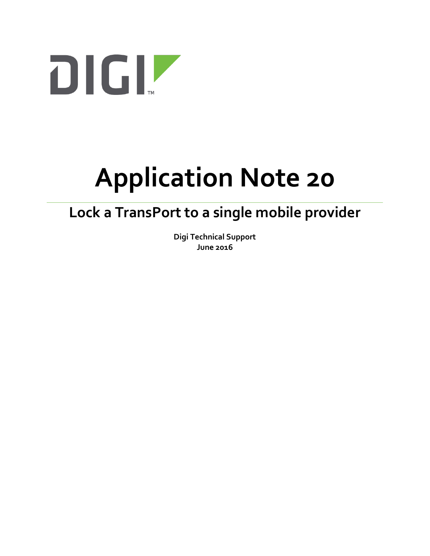

# **Application Note 20**

## **Lock a TransPort to a single mobile provider**

**Digi Technical Support June 2016**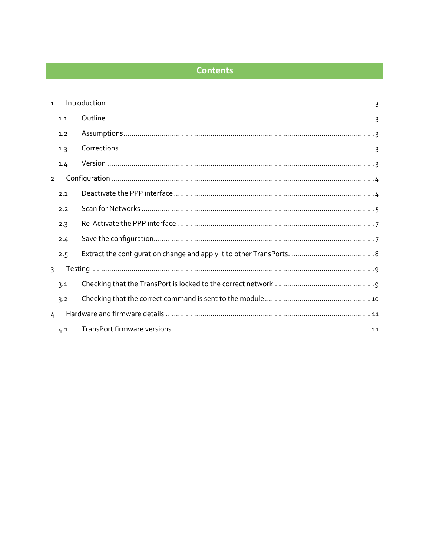#### **Contents**

| $\mathbf{1}$   |     |  |  |  |  |
|----------------|-----|--|--|--|--|
|                | 1.1 |  |  |  |  |
|                | 1.2 |  |  |  |  |
|                | 1.3 |  |  |  |  |
|                | 1.4 |  |  |  |  |
| $\overline{2}$ |     |  |  |  |  |
|                | 2.1 |  |  |  |  |
|                | 2.2 |  |  |  |  |
|                | 2.3 |  |  |  |  |
|                | 2.4 |  |  |  |  |
|                | 2.5 |  |  |  |  |
| $\mathcal{F}$  |     |  |  |  |  |
|                | 3.1 |  |  |  |  |
|                | 3.2 |  |  |  |  |
| 4              |     |  |  |  |  |
|                | 4.1 |  |  |  |  |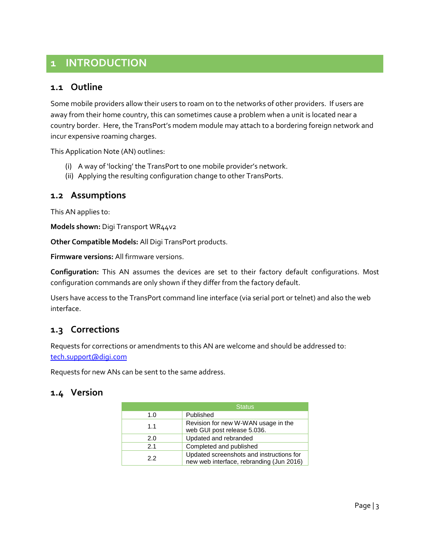## <span id="page-2-0"></span>**1 INTRODUCTION**

#### <span id="page-2-1"></span>**1.1 Outline**

Some mobile providers allow their users to roam on to the networks of other providers. If users are away from their home country, this can sometimes cause a problem when a unit is located near a country border. Here, the TransPort's modem module may attach to a bordering foreign network and incur expensive roaming charges.

This Application Note (AN) outlines:

- (i) A way of 'locking' the TransPort to one mobile provider's network.
- (ii) Applying the resulting configuration change to other TransPorts.

#### <span id="page-2-2"></span>**1.2 Assumptions**

This AN applies to:

**Models shown:** Digi Transport WR44v2

**Other Compatible Models:** All Digi TransPort products.

**Firmware versions:** All firmware versions.

**Configuration:** This AN assumes the devices are set to their factory default configurations. Most configuration commands are only shown if they differ from the factory default.

Users have access to the TransPort command line interface (via serial port or telnet) and also the web interface.

#### <span id="page-2-3"></span>**1.3 Corrections**

Requests for corrections or amendments to this AN are welcome and should be addressed to: [tech.support@digi.com](mailto:tech.support@digi.com)

Requests for new ANs can be sent to the same address.

#### <span id="page-2-4"></span>**1.4 Version**

|     | <b>Status</b>                                                                        |
|-----|--------------------------------------------------------------------------------------|
| 1.0 | Published                                                                            |
| 1.1 | Revision for new W-WAN usage in the<br>web GUI post release 5.036.                   |
| 2.0 | Updated and rebranded                                                                |
| 2.1 | Completed and published                                                              |
| 2.2 | Updated screenshots and instructions for<br>new web interface, rebranding (Jun 2016) |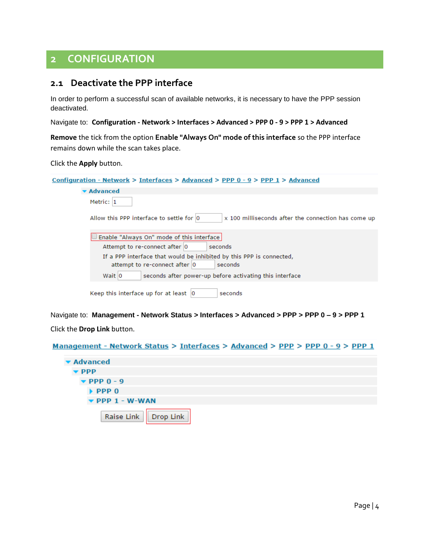## <span id="page-3-0"></span>**2 CONFIGURATION**

#### <span id="page-3-1"></span>**2.1 Deactivate the PPP interface**

In order to perform a successful scan of available networks, it is necessary to have the PPP session deactivated.

Navigate to: **Configuration - Network > Interfaces > Advanced > PPP 0 - 9 > PPP 1 > Advanced**

**Remove** the tick from the option **Enable "Always On" mode of this interface** so the PPP interface remains down while the scan takes place.

#### Click the **Apply** button.

| <u>Configuration - Network &gt; Interfaces &gt; Advanced &gt; PPP <math>0 - 9</math> &gt; PPP 1 &gt; Advanced</u> |  |  |  |  |
|-------------------------------------------------------------------------------------------------------------------|--|--|--|--|
| <b>v</b> Advanced                                                                                                 |  |  |  |  |
| Metric: 1                                                                                                         |  |  |  |  |
| Allow this PPP interface to settle for 0<br>x 100 milliseconds after the connection has come up                   |  |  |  |  |
| Enable "Always On" mode of this interface                                                                         |  |  |  |  |
| Attempt to re-connect after 0<br>seconds                                                                          |  |  |  |  |
| If a PPP interface that would be inhibited by this PPP is connected,                                              |  |  |  |  |
| attempt to re-connect after 0<br>seconds                                                                          |  |  |  |  |
| Wait 0<br>seconds after power-up before activating this interface                                                 |  |  |  |  |
| Keep this interface up for at least $ 0\rangle$<br>seconds                                                        |  |  |  |  |

Navigate to: **Management - Network Status > Interfaces > Advanced > PPP > PPP 0 – 9 > PPP 1** Click the **Drop Link** button.

Management - Network Status > Interfaces > Advanced > PPP > PPP 0 - 9 > PPP 1

| ▼ Advanced                         |                        |  |
|------------------------------------|------------------------|--|
| $\blacktriangleright$ PPP          |                        |  |
| $\blacktriangledown$ PPP 0 - 9     |                        |  |
| $\blacktriangleright$ PPP 0        |                        |  |
| $\blacktriangledown$ PPP 1 - W-WAN |                        |  |
|                                    | Raise Link   Drop Link |  |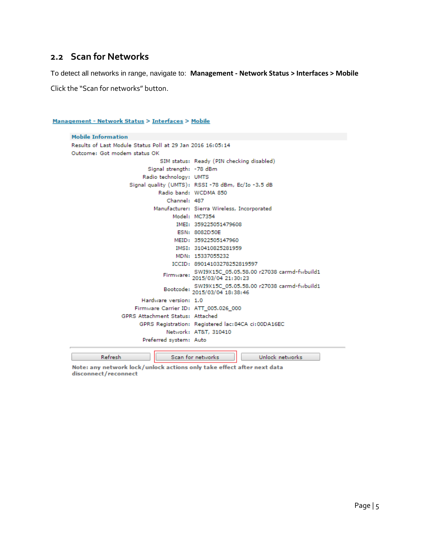#### <span id="page-4-0"></span>**2.2 Scan for Networks**

To detect all networks in range, navigate to: **Management - Network Status > Interfaces > Mobile**

Click the "Scan for networks" button.

Refresh

Management - Network Status > Interfaces > Mobile

```
Mobile Information
Results of Last Module Status Poll at 29 Jan 2016 16:05:14
Outcome: Got modem status OK
                              SIM status: Ready (PIN checking disabled)
                          Signal strength: -78 dBm
                        Radio technology: UMTS
                    Signal quality (UMTS): RSSI-78 dBm, Ec/Io-3.5 dB
                              Radio band: WCDMA 850
                                 Channel: 487
                            Manufacturer: Sierra Wireless, Incorporated
                                   Model: MC7354
                                    IMEI: 359225051479608
                                    ESN: 8082D50E
                                   MEID: 35922505147960
                                    IMSI: 310410825281959
                                    MDN: 15337055232
                                   ICCID: 89014103278252819597
                                SWI9X15C_05.05.58.00 r27038 carmd-fwbuild1<br>2015/03/04 21:30:23
                                SWI9X15C_05.05.58.00 r27038 carmd-fwbuild1<br>2015/03/04 18:38:46
                        Hardware version: 1.0
                      Firmware Carrier ID: ATT_005.026_000
                 GPRS Attachment Status: Attached
                       GPRS Registration: Registered lac: 84CA ci: 00DA16EC
                                 Network: AT&T, 310410
                        Preferred system: Auto
```
Note: any network lock/unlock actions only take effect after next data disconnect/reconnect

Scan for networks

Unlock networks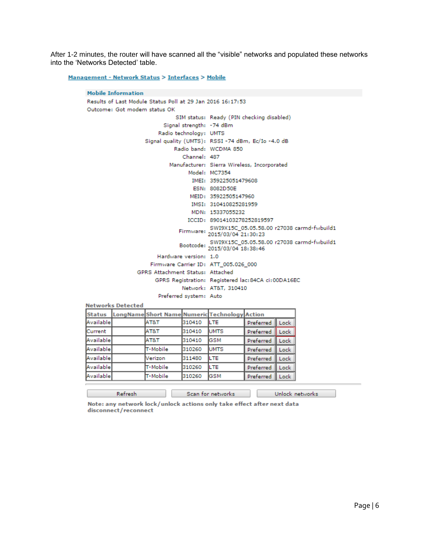After 1-2 minutes, the router will have scanned all the "visible" networks and populated these networks into the 'Networks Detected' table.

Management - Network Status > Interfaces > Mobile

|                                                            | <b>Mobile Information</b>    |                                               |                        |                                                      |                  |             |                                            |
|------------------------------------------------------------|------------------------------|-----------------------------------------------|------------------------|------------------------------------------------------|------------------|-------------|--------------------------------------------|
| Results of Last Module Status Poll at 29 Jan 2016 16:17:53 |                              |                                               |                        |                                                      |                  |             |                                            |
|                                                            | Outcome: Got modem status OK |                                               |                        |                                                      |                  |             |                                            |
|                                                            |                              |                                               |                        | SIM status: Ready (PIN checking disabled)            |                  |             |                                            |
|                                                            |                              |                                               |                        | Signal strength: -74 dBm                             |                  |             |                                            |
|                                                            |                              |                                               | Radio technology: UMTS |                                                      |                  |             |                                            |
|                                                            |                              |                                               |                        | Signal quality (UMTS): RSSI-74 dBm, Ec/Io-4.0 dB     |                  |             |                                            |
|                                                            |                              |                                               |                        | Radio band: WCDMA 850                                |                  |             |                                            |
|                                                            |                              |                                               | Channel: 487           |                                                      |                  |             |                                            |
|                                                            |                              |                                               |                        | Manufacturer: Sierra Wireless, Incorporated          |                  |             |                                            |
|                                                            |                              |                                               |                        | Model: MC7354                                        |                  |             |                                            |
|                                                            |                              |                                               |                        | IMEI: 359225051479608                                |                  |             |                                            |
|                                                            |                              |                                               |                        | ESN: 8082D50E                                        |                  |             |                                            |
|                                                            |                              |                                               |                        | MEID: 35922505147960                                 |                  |             |                                            |
|                                                            |                              |                                               |                        | IMSI: 310410825281959                                |                  |             |                                            |
|                                                            |                              |                                               |                        | MDN: 15337055232                                     |                  |             |                                            |
|                                                            |                              |                                               |                        | ICCID: 89014103278252819597                          |                  |             |                                            |
|                                                            |                              |                                               |                        | Firmware: 2015/03/04 21:30:23                        |                  |             | SWI9X15C 05.05.58.00 r27038 carmd-fwbuild1 |
|                                                            |                              |                                               |                        | Bootcode: 2015/03/04 18:38:46                        |                  |             | SWI9X15C 05.05.58.00 r27038 carmd-fwbuild1 |
|                                                            |                              |                                               | Hardware version: 1.0  |                                                      |                  |             |                                            |
|                                                            |                              |                                               |                        | Firmware Carrier ID: ATT 005.026 000                 |                  |             |                                            |
|                                                            |                              | GPRS Attachment Status: Attached              |                        |                                                      |                  |             |                                            |
|                                                            |                              |                                               |                        | GPRS Registration: Registered lac: 84CA ci: 00DA16EC |                  |             |                                            |
|                                                            |                              |                                               |                        | Network: AT&T, 310410                                |                  |             |                                            |
|                                                            |                              |                                               | Preferred system: Auto |                                                      |                  |             |                                            |
| <b>Networks Detected</b>                                   |                              |                                               |                        |                                                      |                  |             |                                            |
| <b>Status</b>                                              |                              | LongName Short Name Numeric Technology Action |                        |                                                      |                  |             |                                            |
| Available                                                  |                              | AT&T                                          | 310410                 | ILTE.                                                | Preferred        | l Lock      |                                            |
| Current                                                    |                              | AT8T                                          | 310410                 | <b>UMTS</b>                                          | <b>Preferred</b> | <b>Lock</b> |                                            |
| $-1$ $-1$ $-1$                                             |                              |                                               |                        |                                                      |                  |             |                                            |

| AT&T            | 310410 | LTE         | Preferred Lock |      |
|-----------------|--------|-------------|----------------|------|
| AT&T            | 310410 | <b>UMTS</b> | Preferred Lock |      |
| AT&T            | 310410 | <b>GSM</b>  | Preferred Lock |      |
| T-Mobile        | 310260 | <b>UMTS</b> | Preferred Lock |      |
| Verizon         | 311480 | LTE         | Preferred Lock |      |
| <b>T-Mobile</b> | 310260 | LTE         | Preferred      | Lock |
| <b>T-Mobile</b> | 310260 | <b>GSM</b>  | Preferred Lock |      |
|                 |        |             |                |      |

Note: any network lock/unlock actions only take effect after next data disconnect/reconnect

Scan for networks

Refresh

Unlock networks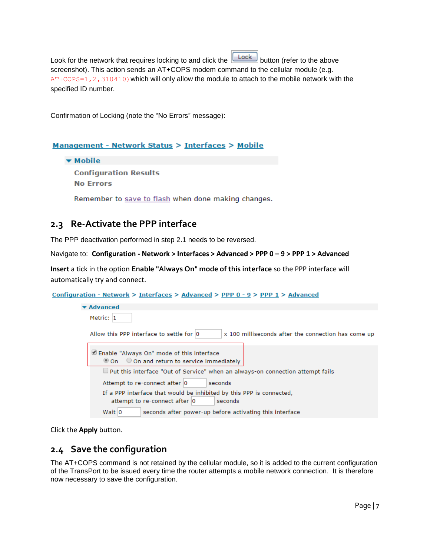Look for the network that requires locking to and click the  $\Box$  button (refer to the above screenshot). This action sends an AT+COPS modem command to the cellular module (e.g.  $AT+COPS=1, 2, 310410$  which will only allow the module to attach to the mobile network with the specified ID number.

Confirmation of Locking (note the "No Errors" message):

#### Management - Network Status > Interfaces > Mobile

▼ Mobile

**Configuration Results No Errors** 

Remember to save to flash when done making changes.

#### <span id="page-6-0"></span>**2.3 Re-Activate the PPP interface**

The PPP deactivation performed in step 2.1 needs to be reversed.

#### Navigate to: **Configuration - Network > Interfaces > Advanced > PPP 0 – 9 > PPP 1 > Advanced**

**Insert** a tick in the option **Enable "Always On" mode of this interface** so the PPP interface will automatically try and connect.

#### Configuration - Network > Interfaces > Advanced > PPP 0 - 9 > PPP 1 > Advanced

| <b>Advanced</b>                                                                                                  |
|------------------------------------------------------------------------------------------------------------------|
| Metric: 1                                                                                                        |
| Allow this PPP interface to settle for 0<br>x 100 milliseconds after the connection has come up                  |
| Enable "Always On" mode of this interface<br>◎ On ○ On and return to service immediately                         |
| □ Put this interface "Out of Service" when an always-on connection attempt fails                                 |
| Attempt to re-connect after 0<br>seconds                                                                         |
| If a PPP interface that would be inhibited by this PPP is connected,<br>attempt to re-connect after 0<br>seconds |
| Wait 0<br>seconds after power-up before activating this interface                                                |

Click the **Apply** button.

## <span id="page-6-1"></span>**2.4 Save the configuration**

The AT+COPS command is not retained by the cellular module, so it is added to the current configuration of the TransPort to be issued every time the router attempts a mobile network connection. It is therefore now necessary to save the configuration.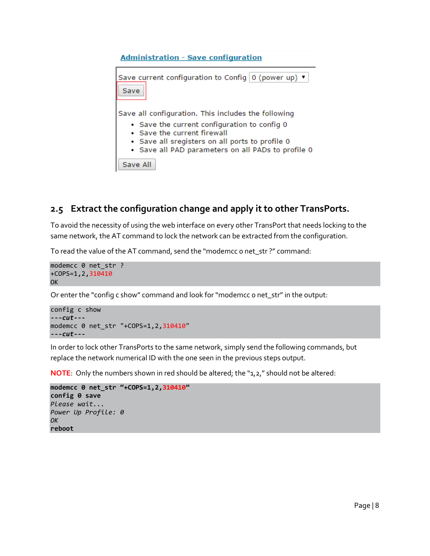

## <span id="page-7-0"></span>**2.5 Extract the configuration change and apply it to other TransPorts.**

To avoid the necessity of using the web interface on every other TransPort that needs locking to the same network, the AT command to lock the network can be extracted from the configuration.

To read the value of the AT command, send the "modemcc 0 net\_str ?" command:

```
modemcc 0 net_str ?
+COPS=1,2,310410
OK
```
Or enter the "config c show" command and look for "modemcc 0 net\_str" in the output:

```
config c show
---cut---
modemcc 0 net_str "+COPS=1,2,310410"
---cut---
```
In order to lock other TransPorts to the same network, simply send the following commands, but replace the network numerical ID with the one seen in the previous steps output.

**NOTE**: Only the numbers shown in red should be altered; the "1,2," should not be altered:

```
modemcc 0 net_str "+COPS=1,2,310410"
config 0 save
Please wait...
Power Up Profile: 0
OK
reboot
```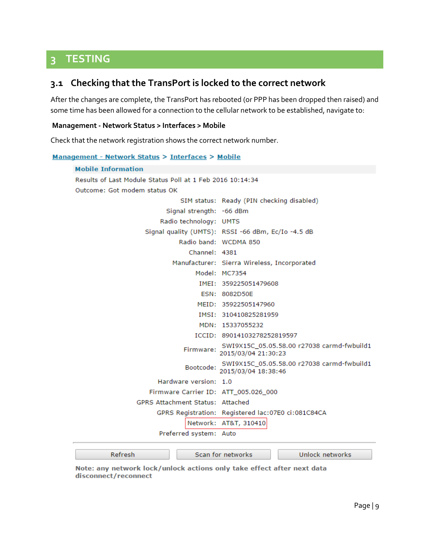## <span id="page-8-0"></span>**3 TESTING**

#### <span id="page-8-1"></span>**3.1 Checking that the TransPort is locked to the correct network**

After the changes are complete, the TransPort has rebooted (or PPP has been dropped then raised) and some time has been allowed for a connection to the cellular network to be established, navigate to:

#### **Management - Network Status > Interfaces > Mobile**

Check that the network registration shows the correct network number.

```
Management - Network Status > Interfaces > Mobile
```

```
Mobile Information
Results of Last Module Status Poll at 1 Feb 2016 10:14:34
Outcome: Got modem status OK
                               SIM status: Ready (PIN checking disabled)
                           Signal strength: -66 dBm
                         Radio technology: UMTS
                    Signal quality (UMTS): RSSI -66 dBm, Ec/Io -4.5 dB
                               Radio band: WCDMA 850
                                 Channel: 4381
                            Manufacturer: Sierra Wireless, Incorporated
                                   Model: MC7354
                                    IMEI: 359225051479608
                                     ESN: 8082D50E
                                    MEID: 35922505147960
                                    IMSI: 310410825281959
                                    MDN: 15337055232
                                   ICCID: 89014103278252819597
                                           SWI9X15C_05.05.58.00 r27038 carmd-fwbuild1
                                SWI9X15C_05.05.58.<br>2015/03/04 21:30:23
                                           SWI9X15C_05.05.58.00 r27038 carmd-fwbuild1
                                Bootcode: SWI9X15C_05.05.58<br>2015/03/04 18:38:46
                        Hardware version: 1.0
                      Firmware Carrier ID: ATT_005.026_000
                  GPRS Attachment Status: Attached
                        GPRS Registration: Registered lac:07E0 ci:081C84CA
                                 Network: AT&T, 310410
                         Preferred system: Auto
          Refresh
                                   Scan for networks
                                                                  Unlock networks
```
Note: any network lock/unlock actions only take effect after next data disconnect/reconnect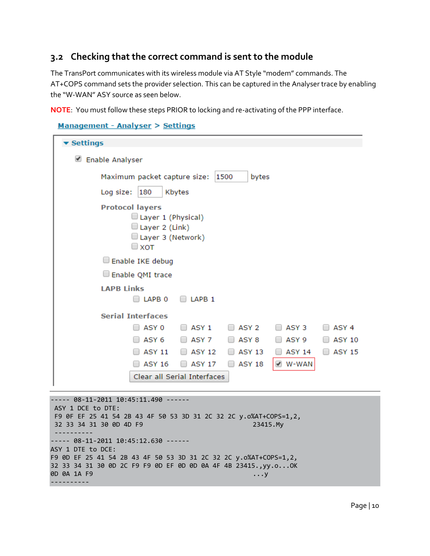#### <span id="page-9-0"></span>**3.2 Checking that the correct command is sent to the module**

The TransPort communicates with its wireless module via AT Style "modem" commands. The AT+COPS command sets the provider selection. This can be captured in the Analyser trace by enabling the "W-WAN" ASY source as seen below.

**NOTE**: You must follow these steps PRIOR to locking and re-activating of the PPP interface.

```
Management - Analyser > Settings
```

| ▼ Settings                                                                                               |  |  |  |  |  |
|----------------------------------------------------------------------------------------------------------|--|--|--|--|--|
| ✔<br><b>Enable Analyser</b>                                                                              |  |  |  |  |  |
| Maximum packet capture size:<br>1500<br>bytes                                                            |  |  |  |  |  |
| Log size:<br>180<br>Kbytes                                                                               |  |  |  |  |  |
| <b>Protocol layers</b><br>$\Box$ Layer 1 (Physical)<br>Layer 2 (Link)<br>Layer 3 (Network)<br>$\Box$ XOT |  |  |  |  |  |
| Enable IKE debug                                                                                         |  |  |  |  |  |
| Enable QMI trace                                                                                         |  |  |  |  |  |
| <b>LAPB Links</b><br>LAPB <sub>0</sub><br>LAPB <sub>1</sub>                                              |  |  |  |  |  |
| <b>Serial Interfaces</b>                                                                                 |  |  |  |  |  |
| ASY <sub>1</sub><br>ASY 2<br>ASY 0<br>ASY 3<br>ASY <sub>4</sub>                                          |  |  |  |  |  |
| ASY 6<br>$\Box$ ASY 7<br>ASY <sub>8</sub><br>ASY 9<br><b>ASY 10</b><br>$\Box$<br>$\Box$                  |  |  |  |  |  |
| <b>ASY 11</b><br><b>ASY 12</b><br><b>ASY 13</b><br>ASY 14<br><b>ASY 15</b><br>$\Box$                     |  |  |  |  |  |
| V W-WAN<br><b>ASY 16</b><br>ASY 18<br><b>ASY 17</b><br>$\Box$<br>$\Box$                                  |  |  |  |  |  |
| Clear all Serial Interfaces                                                                              |  |  |  |  |  |
|                                                                                                          |  |  |  |  |  |

```
----- 08-11-2011 10:45:11.490 ------
ASY 1 DCE to DTE:
F9 0F EF 25 41 54 2B 43 4F 50 53 3D 31 2C 32 2C y.o%AT+COPS=1,2,
32 33 34 31 30 0D 4D F9 23415.My
   ----------
----- 08-11-2011 10:45:12.630 ------
ASY 1 DTE to DCE:
F9 0D EF 25 41 54 2B 43 4F 50 53 3D 31 2C 32 2C y.o%AT+COPS=1,2,
32 33 34 31 30 0D 2C F9 F9 0D EF 0D 0D 0A 4F 4B 23415.,yy.o...OK
0D 0A 1A F9 ...y
----------
```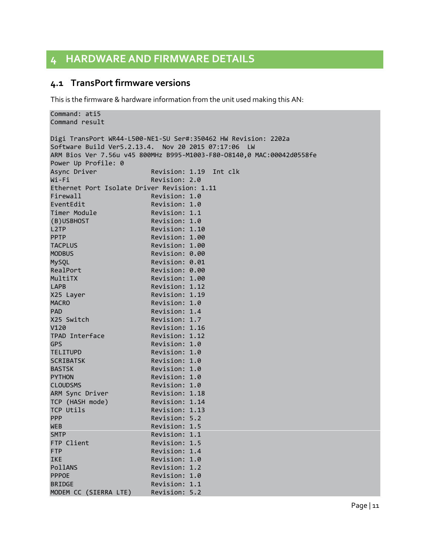## <span id="page-10-0"></span>**4 HARDWARE AND FIRMWARE DETAILS**

#### <span id="page-10-1"></span>**4.1 TransPort firmware versions**

MODEM CC (SIERRA LTE) Revision: 5.2

This is the firmware & hardware information from the unit used making this AN:

```
Command: ati5
Command result
Digi TransPort WR44-L500-NE1-SU Ser#:350462 HW Revision: 2202a
Software Build Ver5.2.13.4. Nov 20 2015 07:17:06 LW
ARM Bios Ver 7.56u v45 800MHz B995-M1003-F80-O8140,0 MAC:00042d0558fe
Power Up Profile: 0
Async Driver Revision: 1.19 Int clk
Wi-Fi Revision: 2.0
Ethernet Port Isolate Driver Revision: 1.11 
Firewall Revision: 1.0
EventEdit Revision: 1.0
Timer Module Revision: 1.1
(B)USBHOST Revision: 1.0 
L2TP Revision: 1.10
PPTP Revision: 1.00
TACPLUS Revision: 1.00 
MODBUS Revision: 0.00
MySQL Revision: 0.01
RealPort Revision: 0.00<br>MultiTX Revision: 1.00
                 Revision: 1.00
LAPB Revision: 1.12
X25 Layer Revision: 1.19
MACRO Revision: 1.0
PAD Revision: 1.4
X25 Switch Revision: 1.7 
V120 Revision: 1.16<br>TPAD Interface Revision: 1.12
TPAD Interface
GPS Revision: 1.0
TELITUPD Revision: 1.0 
SCRIBATSK Revision: 1.0
BASTSK Revision: 1.0
PYTHON Revision: 1.0
CLOUDSMS Revision: 1.0
ARM Sync Driver Revision: 1.18
TCP (HASH mode) Revision: 1.14 
TCP Utils Revision: 1.13
PPP Revision: 5.2
WEB Revision: 1.5
SMTP Revision: 1.1
FTP Client Revision: 1.5
FTP Revision: 1.4
IKE Revision: 1.0
PollANS Revision: 1.2
PPPOE Revision: 1.0
BRIDGE Revision: 1.1
```